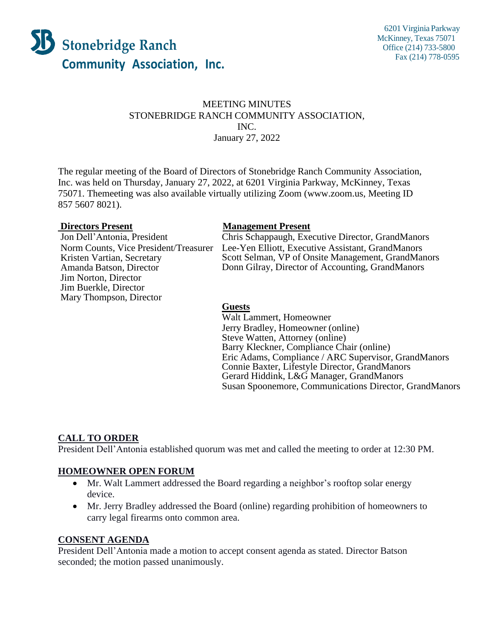

### MEETING MINUTES STONEBRIDGE RANCH COMMUNITY ASSOCIATION, INC. January 27, 2022

The regular meeting of the Board of Directors of Stonebridge Ranch Community Association, Inc. was held on Thursday, January 27, 2022, at 6201 Virginia Parkway, McKinney, Texas 75071. Themeeting was also available virtually utilizing Zoom [\(www.zoom.us,](http://www.zoom.us/) Meeting ID 857 5607 8021).

Norm Counts, Vice President/Treasurer Kristen Vartian, Secretary Amanda Batson, Director Jim Norton, Director Jim Buerkle, Director Mary Thompson, Director

#### **Directors Present Management Present**

Jon Dell'Antonia, President Chris Schappaugh, Executive Director, GrandManors Lee-Yen Elliott, Executive Assistant, GrandManors Scott Selman, VP of Onsite Management, GrandManors Donn Gilray, Director of Accounting, GrandManors

#### **Guests**

Walt Lammert, Homeowner Jerry Bradley, Homeowner (online) Steve Watten, Attorney (online) Barry Kleckner, Compliance Chair (online) Eric Adams, Compliance / ARC Supervisor, GrandManors Connie Baxter, Lifestyle Director, GrandManors Gerard Hiddink, L&G Manager, GrandManors Susan Spoonemore, Communications Director, GrandManors

# **CALL TO ORDER**

President Dell'Antonia established quorum was met and called the meeting to order at 12:30 PM.

#### **HOMEOWNER OPEN FORUM**

- Mr. Walt Lammert addressed the Board regarding a neighbor's rooftop solar energy device.
- Mr. Jerry Bradley addressed the Board (online) regarding prohibition of homeowners to carry legal firearms onto common area.

#### **CONSENT AGENDA**

President Dell'Antonia made a motion to accept consent agenda as stated. Director Batson seconded; the motion passed unanimously.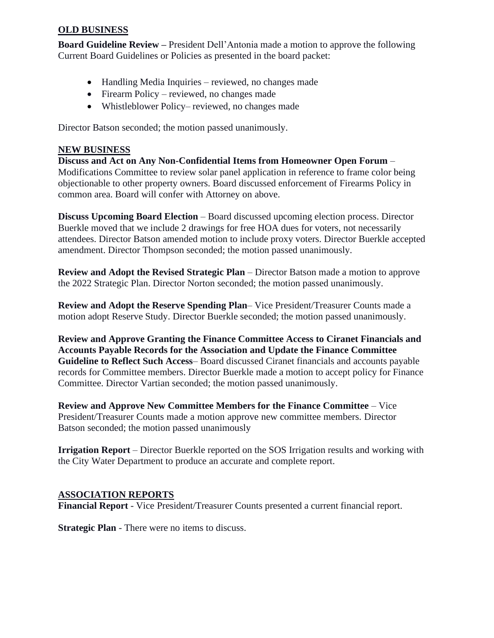# **OLD BUSINESS**

**Board Guideline Review –** President Dell'Antonia made a motion to approve the following Current Board Guidelines or Policies as presented in the board packet:

- Handling Media Inquiries reviewed, no changes made
- Firearm Policy reviewed, no changes made
- Whistleblower Policy– reviewed, no changes made

Director Batson seconded; the motion passed unanimously.

#### **NEW BUSINESS**

**Discuss and Act on Any Non-Confidential Items from Homeowner Open Forum** – Modifications Committee to review solar panel application in reference to frame color being objectionable to other property owners. Board discussed enforcement of Firearms Policy in common area. Board will confer with Attorney on above.

**Discuss Upcoming Board Election – Board discussed upcoming election process. Director** Buerkle moved that we include 2 drawings for free HOA dues for voters, not necessarily attendees. Director Batson amended motion to include proxy voters. Director Buerkle accepted amendment. Director Thompson seconded; the motion passed unanimously.

**Review and Adopt the Revised Strategic Plan** – Director Batson made a motion to approve the 2022 Strategic Plan. Director Norton seconded; the motion passed unanimously.

**Review and Adopt the Reserve Spending Plan**– Vice President/Treasurer Counts made a motion adopt Reserve Study. Director Buerkle seconded; the motion passed unanimously.

**Review and Approve Granting the Finance Committee Access to Ciranet Financials and Accounts Payable Records for the Association and Update the Finance Committee Guideline to Reflect Such Access**– Board discussed Ciranet financials and accounts payable records for Committee members. Director Buerkle made a motion to accept policy for Finance Committee. Director Vartian seconded; the motion passed unanimously.

**Review and Approve New Committee Members for the Finance Committee** – Vice President/Treasurer Counts made a motion approve new committee members. Director Batson seconded; the motion passed unanimously

**Irrigation Report** – Director Buerkle reported on the SOS Irrigation results and working with the City Water Department to produce an accurate and complete report.

#### **ASSOCIATION REPORTS**

**Financial Report** - Vice President/Treasurer Counts presented a current financial report.

**Strategic Plan** - There were no items to discuss.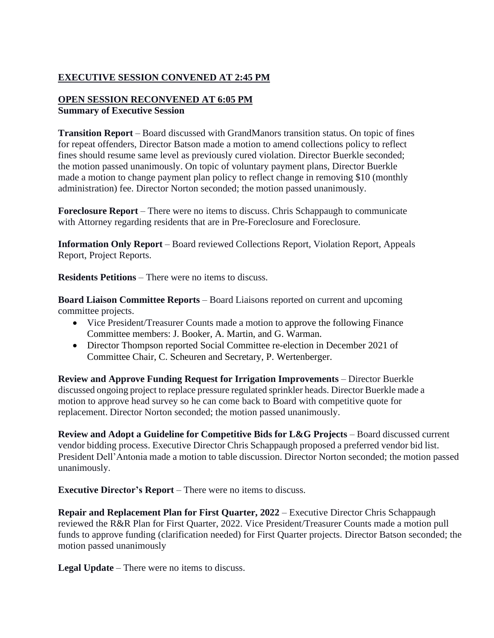# **EXECUTIVE SESSION CONVENED AT 2:45 PM**

# **OPEN SESSION RECONVENED AT 6:05 PM Summary of Executive Session**

**Transition Report** – Board discussed with GrandManors transition status. On topic of fines for repeat offenders, Director Batson made a motion to amend collections policy to reflect fines should resume same level as previously cured violation. Director Buerkle seconded; the motion passed unanimously. On topic of voluntary payment plans, Director Buerkle made a motion to change payment plan policy to reflect change in removing \$10 (monthly administration) fee. Director Norton seconded; the motion passed unanimously.

**Foreclosure Report** – There were no items to discuss. Chris Schappaugh to communicate with Attorney regarding residents that are in Pre-Foreclosure and Foreclosure.

**Information Only Report** – Board reviewed Collections Report, Violation Report, Appeals Report, Project Reports.

**Residents Petitions** – There were no items to discuss.

**Board Liaison Committee Reports** – Board Liaisons reported on current and upcoming committee projects.

- Vice President/Treasurer Counts made a motion to approve the following Finance Committee members: J. Booker, A. Martin, and G. Warman.
- Director Thompson reported Social Committee re-election in December 2021 of Committee Chair, C. Scheuren and Secretary, P. Wertenberger.

**Review and Approve Funding Request for Irrigation Improvements** – Director Buerkle discussed ongoing project to replace pressure regulated sprinkler heads. Director Buerkle made a motion to approve head survey so he can come back to Board with competitive quote for replacement. Director Norton seconded; the motion passed unanimously.

**Review and Adopt a Guideline for Competitive Bids for L&G Projects** – Board discussed current vendor bidding process. Executive Director Chris Schappaugh proposed a preferred vendor bid list. President Dell'Antonia made a motion to table discussion. Director Norton seconded; the motion passed unanimously.

**Executive Director's Report** – There were no items to discuss.

**Repair and Replacement Plan for First Quarter, 2022** – Executive Director Chris Schappaugh reviewed the R&R Plan for First Quarter, 2022. Vice President/Treasurer Counts made a motion pull funds to approve funding (clarification needed) for First Quarter projects. Director Batson seconded; the motion passed unanimously

**Legal Update** – There were no items to discuss.